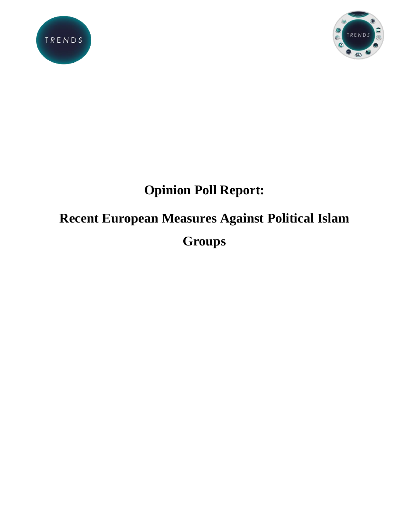



# **Opinion Poll Report:**

# **Recent European Measures Against Political Islam Groups**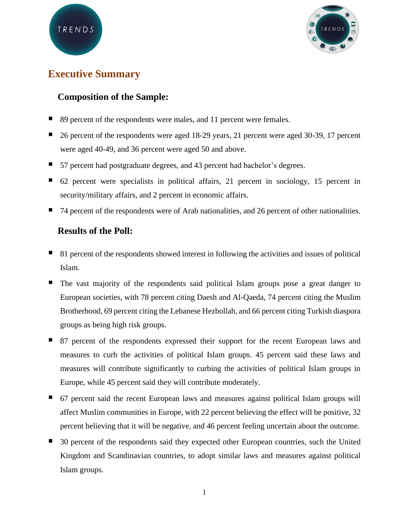

# **Executive Summary**

## **Composition of the Sample:**

- 89 percent of the respondents were males, and 11 percent were females.
- 26 percent of the respondents were aged 18-29 years, 21 percent were aged 30-39, 17 percent were aged 40-49, and 36 percent were aged 50 and above.
- 57 percent had postgraduate degrees, and 43 percent had bachelor's degrees.
- 62 percent were specialists in political affairs, 21 percent in sociology, 15 percent in security/military affairs, and 2 percent in economic affairs.
- 74 percent of the respondents were of Arab nationalities, and 26 percent of other nationalities.

### **Results of the Poll:**

- 81 percent of the respondents showed interest in following the activities and issues of political Islam.
- The vast majority of the respondents said political Islam groups pose a great danger to European societies, with 78 percent citing Daesh and Al-Qaeda, 74 percent citing the Muslim Brotherhood, 69 percent citing the Lebanese Hezbollah, and 66 percent citing Turkish diaspora groups as being high risk groups.
- 87 percent of the respondents expressed their support for the recent European laws and measures to curb the activities of political Islam groups. 45 percent said these laws and measures will contribute significantly to curbing the activities of political Islam groups in Europe, while 45 percent said they will contribute moderately.
- 67 percent said the recent European laws and measures against political Islam groups will affect Muslim communities in Europe, with 22 percent believing the effect will be positive, 32 percent believing that it will be negative, and 46 percent feeling uncertain about the outcome.
- 30 percent of the respondents said they expected other European countries, such the United Kingdom and Scandinavian countries, to adopt similar laws and measures against political Islam groups.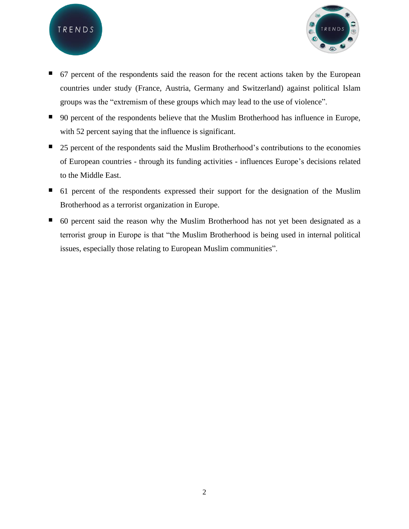



- 67 percent of the respondents said the reason for the recent actions taken by the European countries under study (France, Austria, Germany and Switzerland) against political Islam groups was the "extremism of these groups which may lead to the use of violence".
- 90 percent of the respondents believe that the Muslim Brotherhood has influence in Europe, with 52 percent saying that the influence is significant.
- 25 percent of the respondents said the Muslim Brotherhood's contributions to the economies of European countries - through its funding activities - influences Europe's decisions related to the Middle East.
- 61 percent of the respondents expressed their support for the designation of the Muslim Brotherhood as a terrorist organization in Europe.
- 60 percent said the reason why the Muslim Brotherhood has not yet been designated as a terrorist group in Europe is that "the Muslim Brotherhood is being used in internal political issues, especially those relating to European Muslim communities".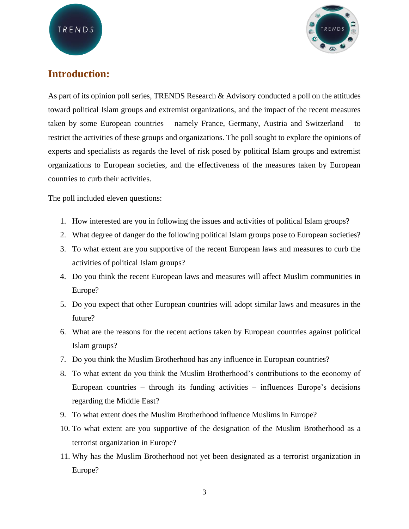

# **Introduction:**

As part of its opinion poll series, TRENDS Research & Advisory conducted a poll on the attitudes toward political Islam groups and extremist organizations, and the impact of the recent measures taken by some European countries – namely France, Germany, Austria and Switzerland – to restrict the activities of these groups and organizations. The poll sought to explore the opinions of experts and specialists as regards the level of risk posed by political Islam groups and extremist organizations to European societies, and the effectiveness of the measures taken by European countries to curb their activities.

The poll included eleven questions:

- 1. How interested are you in following the issues and activities of political Islam groups?
- 2. What degree of danger do the following political Islam groups pose to European societies?
- 3. To what extent are you supportive of the recent European laws and measures to curb the activities of political Islam groups?
- 4. Do you think the recent European laws and measures will affect Muslim communities in Europe?
- 5. Do you expect that other European countries will adopt similar laws and measures in the future?
- 6. What are the reasons for the recent actions taken by European countries against political Islam groups?
- 7. Do you think the Muslim Brotherhood has any influence in European countries?
- 8. To what extent do you think the Muslim Brotherhood's contributions to the economy of European countries – through its funding activities – influences Europe's decisions regarding the Middle East?
- 9. To what extent does the Muslim Brotherhood influence Muslims in Europe?
- 10. To what extent are you supportive of the designation of the Muslim Brotherhood as a terrorist organization in Europe?
- 11. Why has the Muslim Brotherhood not yet been designated as a terrorist organization in Europe?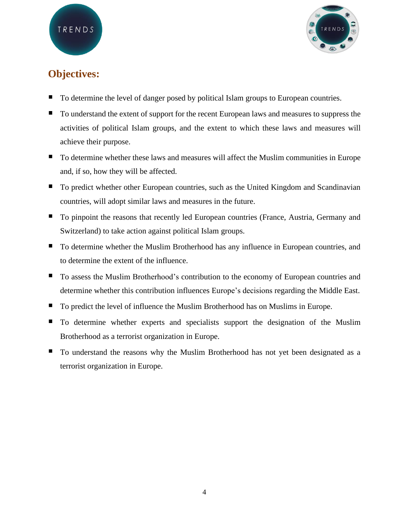

# **Objectives:**

- To determine the level of danger posed by political Islam groups to European countries.
- To understand the extent of support for the recent European laws and measures to suppress the activities of political Islam groups, and the extent to which these laws and measures will achieve their purpose.
- To determine whether these laws and measures will affect the Muslim communities in Europe and, if so, how they will be affected.
- To predict whether other European countries, such as the United Kingdom and Scandinavian countries, will adopt similar laws and measures in the future.
- To pinpoint the reasons that recently led European countries (France, Austria, Germany and Switzerland) to take action against political Islam groups.
- To determine whether the Muslim Brotherhood has any influence in European countries, and to determine the extent of the influence.
- To assess the Muslim Brotherhood's contribution to the economy of European countries and determine whether this contribution influences Europe's decisions regarding the Middle East.
- To predict the level of influence the Muslim Brotherhood has on Muslims in Europe.
- To determine whether experts and specialists support the designation of the Muslim Brotherhood as a terrorist organization in Europe.
- To understand the reasons why the Muslim Brotherhood has not yet been designated as a terrorist organization in Europe.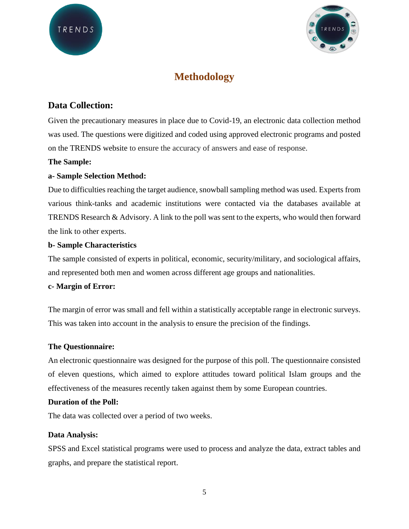

# **Methodology**

### **Data Collection:**

Given the precautionary measures in place due to Covid-19, an electronic data collection method was used. The questions were digitized and coded using approved electronic programs and posted on the TRENDS website to ensure the accuracy of answers and ease of response.

#### **The Sample:**

#### **a- Sample Selection Method:**

Due to difficulties reaching the target audience, snowball sampling method was used. Experts from various think-tanks and academic institutions were contacted via the databases available at TRENDS Research & Advisory. A link to the poll was sent to the experts, who would then forward the link to other experts.

#### **b- Sample Characteristics**

The sample consisted of experts in political, economic, security/military, and sociological affairs, and represented both men and women across different age groups and nationalities.

#### **c- Margin of Error:**

The margin of error was small and fell within a statistically acceptable range in electronic surveys. This was taken into account in the analysis to ensure the precision of the findings.

#### **The Questionnaire:**

An electronic questionnaire was designed for the purpose of this poll. The questionnaire consisted of eleven questions, which aimed to explore attitudes toward political Islam groups and the effectiveness of the measures recently taken against them by some European countries.

#### **Duration of the Poll:**

The data was collected over a period of two weeks.

#### **Data Analysis:**

SPSS and Excel statistical programs were used to process and analyze the data, extract tables and graphs, and prepare the statistical report.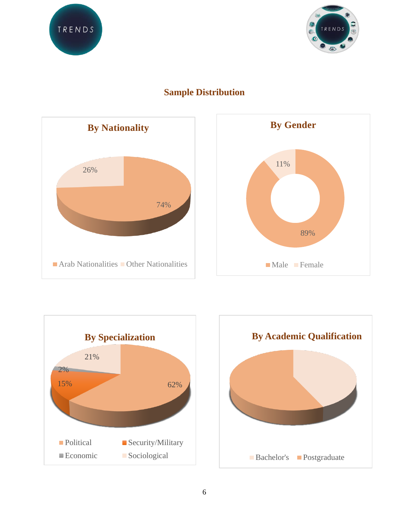





# **Sample Distribution**





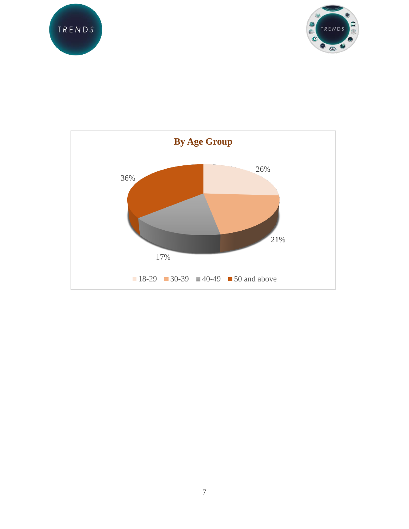



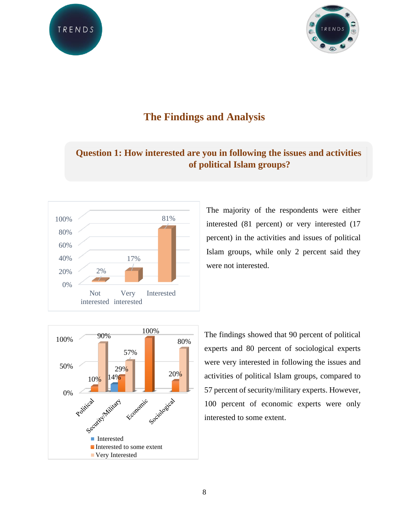



# **The Findings and Analysis**

# **Question 1: How interested are you in following the issues and activities of political Islam groups?**



The majority of the respondents were either interested (81 percent) or very interested (17 percent) in the activities and issues of political Islam groups, while only 2 percent said they were not interested.



The findings showed that 90 percent of political experts and 80 percent of sociological experts were very interested in following the issues and activities of political Islam groups, compared to 57 percent of security/military experts. However, 100 percent of economic experts were only interested to some extent.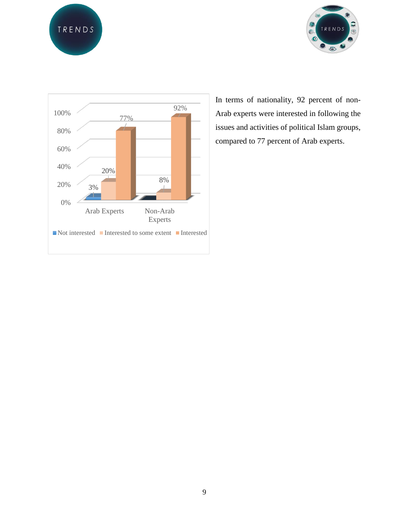





In terms of nationality, 92 percent of non-Arab experts were interested in following the issues and activities of political Islam groups, compared to 77 percent of Arab experts.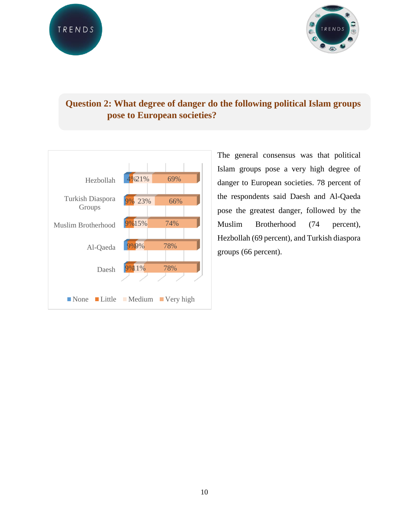

# **Question 2: What degree of danger do the following political Islam groups pose to European societies?**



The general consensus was that political Islam groups pose a very high degree of danger to European societies. 78 percent of the respondents said Daesh and Al-Qaeda pose the greatest danger, followed by the Muslim Brotherhood (74 percent), Hezbollah (69 percent), and Turkish diaspora groups (66 percent).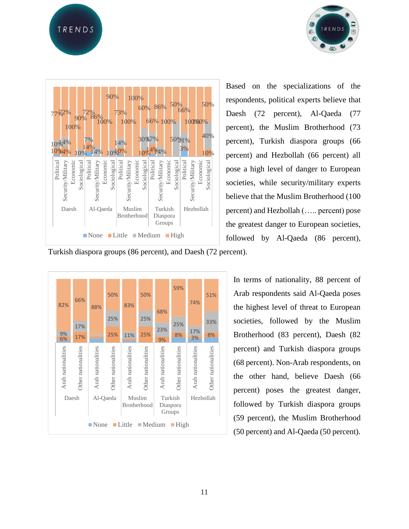





Based on the specializations of the respondents, political experts believe that Daesh (72 percent), Al-Qaeda (77 percent), the Muslim Brotherhood (73 percent), Turkish diaspora groups (66 percent) and Hezbollah (66 percent) all pose a high level of danger to European societies, while security/military experts believe that the Muslim Brotherhood (100 percent) and Hezbollah (….. percent) pose the greatest danger to European societies, followed by Al-Qaeda (86 percent),

Turkish diaspora groups (86 percent), and Daesh (72 percent).



In terms of nationality, 88 percent of Arab respondents said Al-Qaeda poses the highest level of threat to European societies, followed by the Muslim Brotherhood (83 percent), Daesh (82 percent) and Turkish diaspora groups (68 percent). Non-Arab respondents, on the other hand, believe Daesh (66 percent) poses the greatest danger, followed by Turkish diaspora groups (59 percent), the Muslim Brotherhood (50 percent) and Al-Qaeda (50 percent).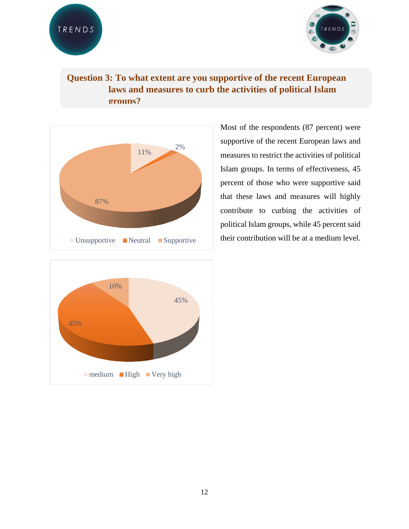

# **Question 3: To what extent are you supportive of the recent European laws and measures to curb the activities of political Islam groups?**



45% 45% 10%  $\blacksquare$  medium  $\blacksquare$  High  $\blacksquare$  Very high

Most of the respondents (87 percent) were supportive of the recent European laws and measures to restrict the activities of political Islam groups. In terms of effectiveness, 45 percent of those who were supportive said that these laws and measures will highly contribute to curbing the activities of political Islam groups, while 45 percent said their contribution will be at a medium level.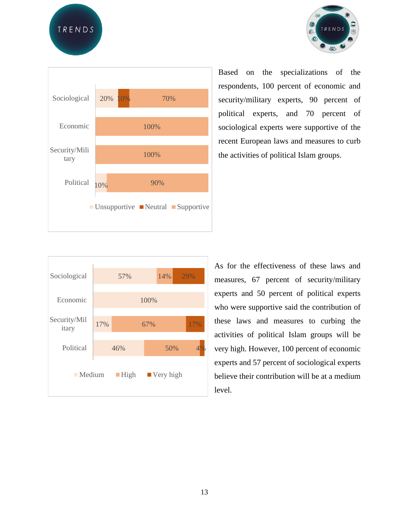TRENDS





Based on the specializations of the respondents, 100 percent of economic and security/military experts, 90 percent of political experts, and 70 percent of sociological experts were supportive of the recent European laws and measures to curb the activities of political Islam groups.



As for the effectiveness of these laws and measures, 67 percent of security/military experts and 50 percent of political experts who were supportive said the contribution of these laws and measures to curbing the activities of political Islam groups will be very high. However, 100 percent of economic experts and 57 percent of sociological experts believe their contribution will be at a medium level.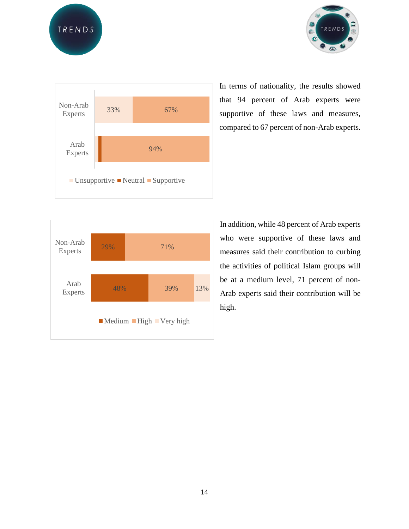





In terms of nationality, the results showed that 94 percent of Arab experts were supportive of these laws and measures, compared to 67 percent of non-Arab experts.



In addition, while 48 percent of Arab experts who were supportive of these laws and measures said their contribution to curbing the activities of political Islam groups will be at a medium level, 71 percent of non-Arab experts said their contribution will be high.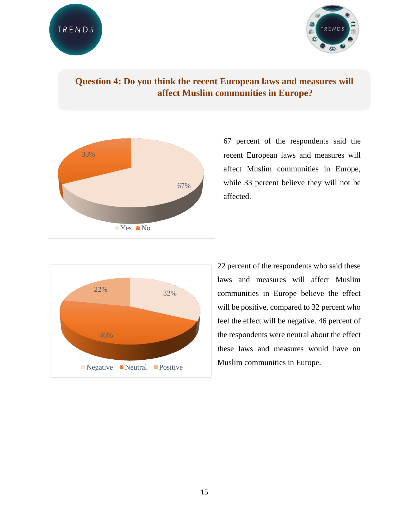

# **Question 4: Do you think the recent European laws and measures will affect Muslim communities in Europe?**



67 percent of the respondents said the recent European laws and measures will affect Muslim communities in Europe, while 33 percent believe they will not be affected.



22 percent of the respondents who said these laws and measures will affect Muslim communities in Europe believe the effect will be positive, compared to 32 percent who feel the effect will be negative. 46 percent of the respondents were neutral about the effect these laws and measures would have on Muslim communities in Europe.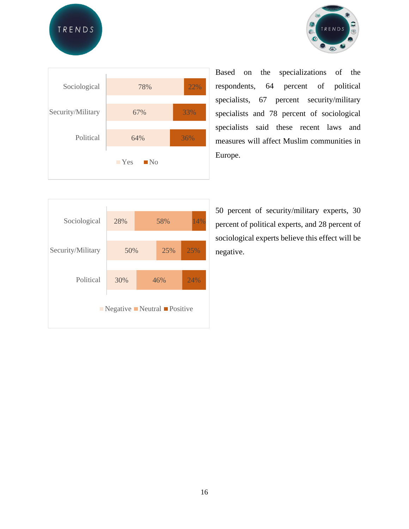





Based on the specializations of the respondents, 64 percent of political specialists, 67 percent security/military specialists and 78 percent of sociological specialists said these recent laws and measures will affect Muslim communities in Europe.

| Sociological                                                           | 28% |  | 58% | 14% |  |  |
|------------------------------------------------------------------------|-----|--|-----|-----|--|--|
|                                                                        |     |  |     |     |  |  |
| Security/Military                                                      | 50% |  | 25% | 25% |  |  |
|                                                                        |     |  |     |     |  |  |
| Political                                                              | 30% |  | 46% | 24% |  |  |
|                                                                        |     |  |     |     |  |  |
| $\blacksquare$ Negative $\blacksquare$ Neutral $\blacksquare$ Positive |     |  |     |     |  |  |
|                                                                        |     |  |     |     |  |  |

50 percent of security/military experts, 30 percent of political experts, and 28 percent of sociological experts believe this effect will be negative.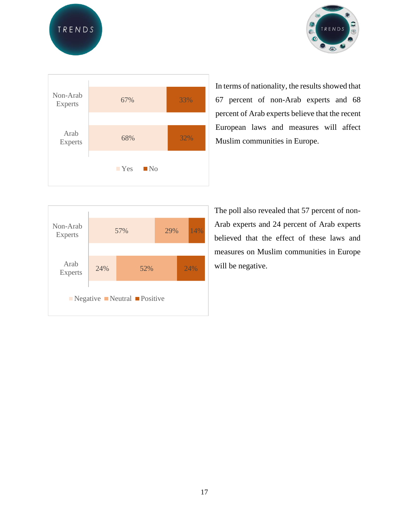





In terms of nationality, the results showed that 67 percent of non-Arab experts and 68 percent of Arab experts believe that the recent European laws and measures will affect Muslim communities in Europe.



The poll also revealed that 57 percent of non-Arab experts and 24 percent of Arab experts believed that the effect of these laws and measures on Muslim communities in Europe will be negative.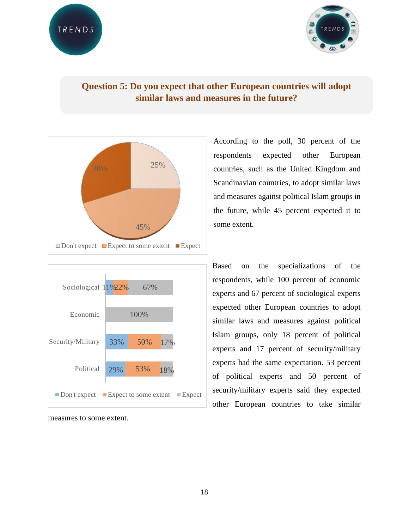

# **Question 5: Do you expect that other European countries will adopt similar laws and measures in the future?**





measures to some extent.

According to the poll, 30 percent of the respondents expected other European countries, such as the United Kingdom and Scandinavian countries, to adopt similar laws and measures against political Islam groups in the future, while 45 percent expected it to some extent.

Based on the specializations of the respondents, while 100 percent of economic experts and 67 percent of sociological experts expected other European countries to adopt similar laws and measures against political Islam groups, only 18 percent of political experts and 17 percent of security/military experts had the same expectation. 53 percent of political experts and 50 percent of security/military experts said they expected other European countries to take similar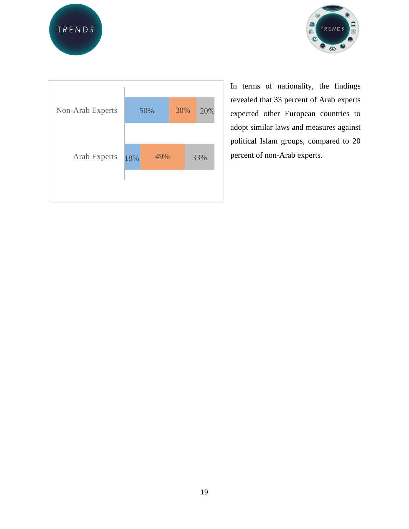





In terms of nationality, the findings revealed that 33 percent of Arab experts expected other European countries to adopt similar laws and measures against political Islam groups, compared to 20 percent of non-Arab experts.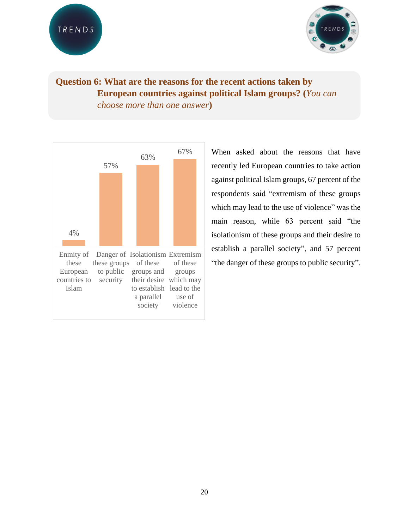

# **Question 6: What are the reasons for the recent actions taken by European countries against political Islam groups? (***You can choose more than one answer***)**



When asked about the reasons that have recently led European countries to take action against political Islam groups, 67 percent of the respondents said "extremism of these groups which may lead to the use of violence" was the main reason, while 63 percent said "the isolationism of these groups and their desire to establish a parallel society", and 57 percent "the danger of these groups to public security".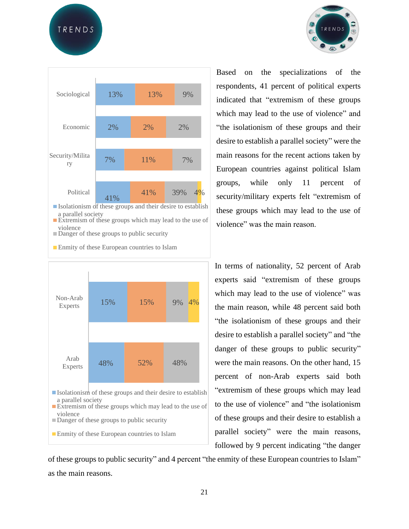TRENDS





**Extremism of these groups which may lead to the use of** violence

Danger of these groups to public security

**Enmity of these European countries to Islam** 



Based on the specializations of the respondents, 41 percent of political experts indicated that "extremism of these groups which may lead to the use of violence" and "the isolationism of these groups and their desire to establish a parallel society" were the main reasons for the recent actions taken by European countries against political Islam groups, while only 11 percent of security/military experts felt "extremism of these groups which may lead to the use of violence" was the main reason.

In terms of nationality, 52 percent of Arab experts said "extremism of these groups which may lead to the use of violence" was the main reason, while 48 percent said both "the isolationism of these groups and their desire to establish a parallel society" and "the danger of these groups to public security" were the main reasons. On the other hand, 15 percent of non-Arab experts said both "extremism of these groups which may lead to the use of violence" and "the isolationism of these groups and their desire to establish a parallel society" were the main reasons, followed by 9 percent indicating "the danger

of these groups to public security" and 4 percent "the enmity of these European countries to Islam" as the main reasons.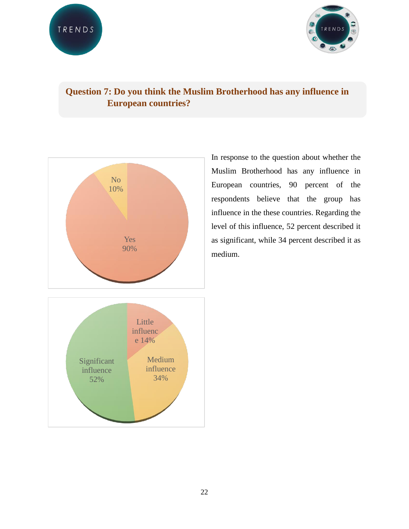

# **Question 7: Do you think the Muslim Brotherhood has any influence in European countries?**



In response to the question about whether the Muslim Brotherhood has any influence in European countries, 90 percent of the respondents believe that the group has influence in the these countries. Regarding the level of this influence, 52 percent described it as significant, while 34 percent described it as medium.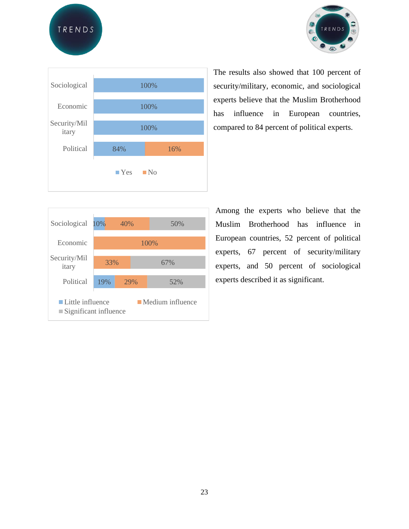





The results also showed that 100 percent of security/military, economic, and sociological experts believe that the Muslim Brotherhood has influence in European countries, compared to 84 percent of political experts.

| Sociological                                                                                               | 10% | 40% |     | 50%  |  |  |
|------------------------------------------------------------------------------------------------------------|-----|-----|-----|------|--|--|
| Economic                                                                                                   |     |     |     | 100% |  |  |
| Security/Mil                                                                                               |     |     |     |      |  |  |
| itary                                                                                                      | 33% |     | 67% |      |  |  |
| Political                                                                                                  | 19% |     | 29% | 52%  |  |  |
| $\blacksquare$ Little influence<br>$\blacksquare$ Medium influence<br>$\blacksquare$ Significant influence |     |     |     |      |  |  |

Among the experts who believe that the Muslim Brotherhood has influence in European countries, 52 percent of political experts, 67 percent of security/military experts, and 50 percent of sociological experts described it as significant.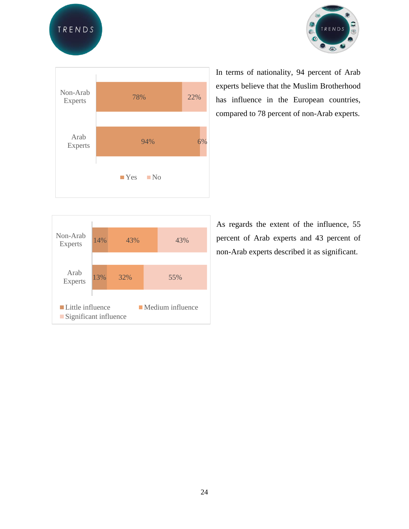





In terms of nationality, 94 percent of Arab experts believe that the Muslim Brotherhood has influence in the European countries, compared to 78 percent of non-Arab experts.



As regards the extent of the influence, 55 percent of Arab experts and 43 percent of non-Arab experts described it as significant.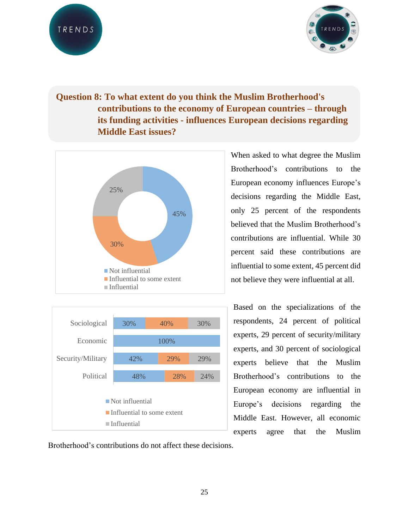



# **Question 8: To what extent do you think the Muslim Brotherhood's contributions to the economy of European countries – through its funding activities - influences European decisions regarding Middle East issues?**





When asked to what degree the Muslim Brotherhood's contributions to the European economy influences Europe's decisions regarding the Middle East, only 25 percent of the respondents believed that the Muslim Brotherhood's contributions are influential. While 30 percent said these contributions are influential to some extent, 45 percent did not believe they were influential at all.

Based on the specializations of the respondents, 24 percent of political experts, 29 percent of security/military experts, and 30 percent of sociological experts believe that the Muslim Brotherhood's contributions to the European economy are influential in Europe's decisions regarding the Middle East. However, all economic experts agree that the Muslim

Brotherhood's contributions do not affect these decisions.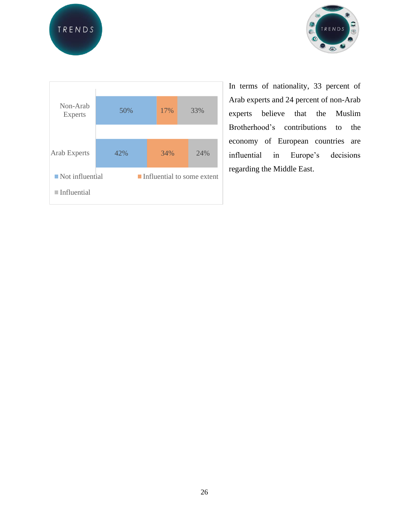





In terms of nationality, 33 percent of Arab experts and 24 percent of non-Arab experts believe that the Muslim Brotherhood's contributions to the economy of European countries are influential in Europe's decisions regarding the Middle East.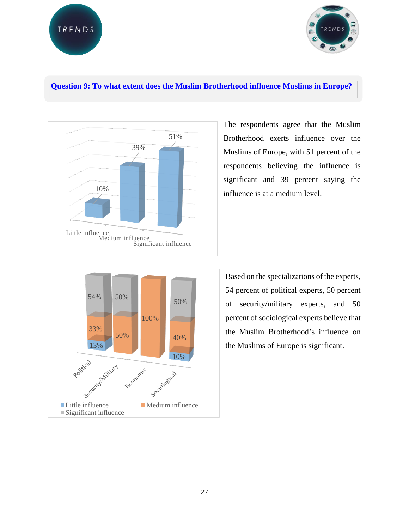



#### **Question 9: To what extent does the Muslim Brotherhood influence Muslims in Europe?**



The respondents agree that the Muslim Brotherhood exerts influence over the Muslims of Europe, with 51 percent of the respondents believing the influence is significant and 39 percent saying the influence is at a medium level.



Based on the specializations of the experts, 54 percent of political experts, 50 percent of security/military experts, and 50 percent of sociological experts believe that the Muslim Brotherhood's influence on the Muslims of Europe is significant.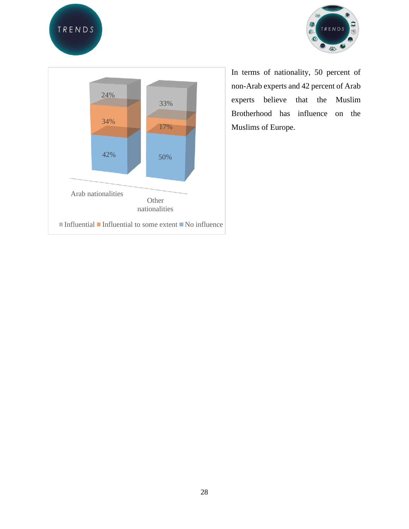





In terms of nationality, 50 percent of non-Arab experts and 42 percent of Arab experts believe that the Muslim Brotherhood has influence on the Muslims of Europe.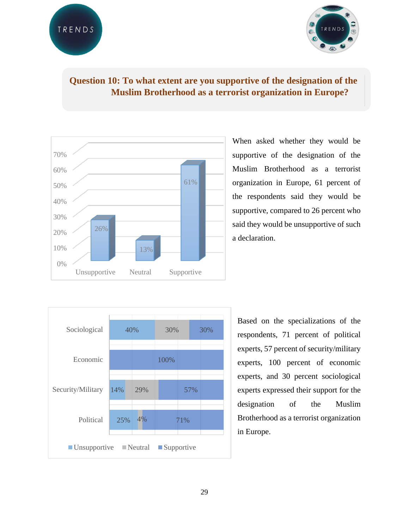

## **Question 10: To what extent are you supportive of the designation of the Muslim Brotherhood as a terrorist organization in Europe?**



When asked whether they would be supportive of the designation of the Muslim Brotherhood as a terrorist organization in Europe, 61 percent of the respondents said they would be supportive, compared to 26 percent who said they would be unsupportive of such a declaration.



Based on the specializations of the respondents, 71 percent of political experts, 57 percent of security/military experts, 100 percent of economic experts, and 30 percent sociological experts expressed their support for the designation of the Muslim Brotherhood as a terrorist organization in Europe.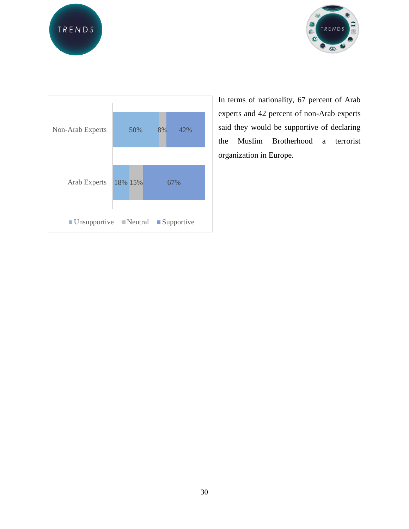





In terms of nationality, 67 percent of Arab experts and 42 percent of non-Arab experts said they would be supportive of declaring the Muslim Brotherhood a terrorist organization in Europe.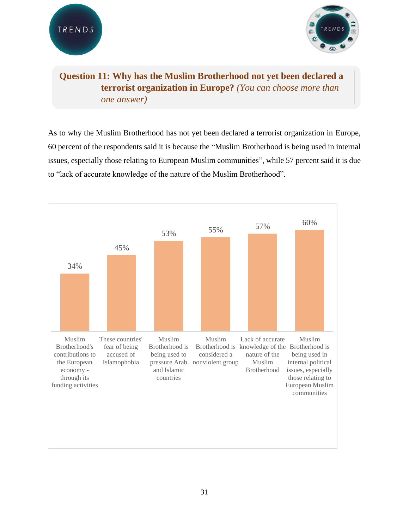



# **Question 11: Why has the Muslim Brotherhood not yet been declared a terrorist organization in Europe?** *(You can choose more than one answer)*

As to why the Muslim Brotherhood has not yet been declared a terrorist organization in Europe, 60 percent of the respondents said it is because the "Muslim Brotherhood is being used in internal issues, especially those relating to European Muslim communities", while 57 percent said it is due to "lack of accurate knowledge of the nature of the Muslim Brotherhood".

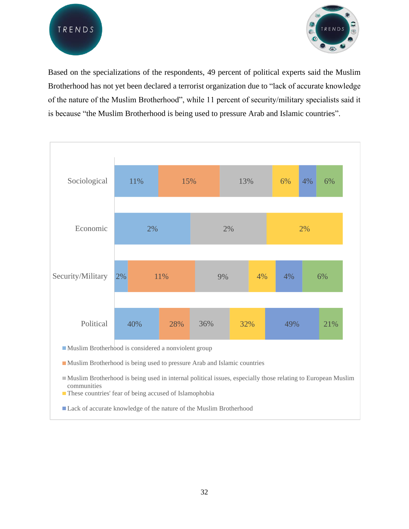



Based on the specializations of the respondents, 49 percent of political experts said the Muslim Brotherhood has not yet been declared a terrorist organization due to "lack of accurate knowledge of the nature of the Muslim Brotherhood", while 11 percent of security/military specialists said it is because "the Muslim Brotherhood is being used to pressure Arab and Islamic countries".



Muslim Brotherhood is being used to pressure Arab and Islamic countries

Muslim Brotherhood is being used in internal political issues, especially those relating to European Muslim communities

**These countries' fear of being accused of Islamophobia** 

■ Lack of accurate knowledge of the nature of the Muslim Brotherhood